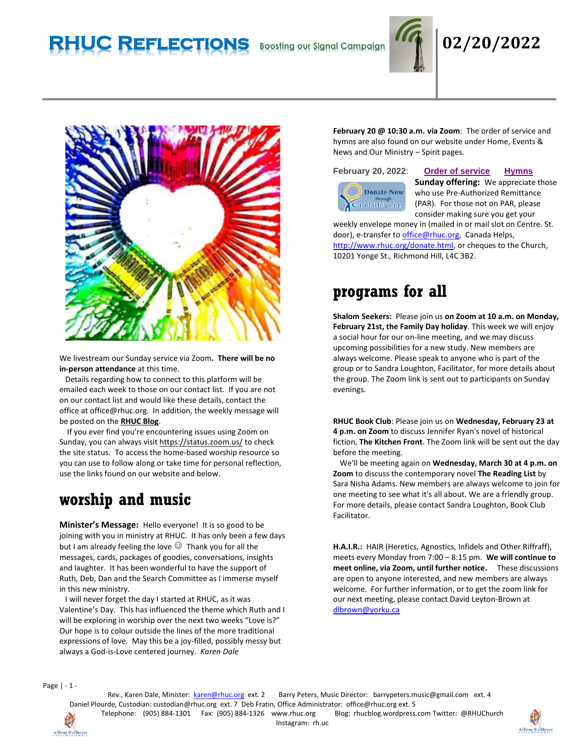# **RHUC Reflections Boosting our Signal Campaign 02/20/2022**





We livestream our Sunday service via Zoom**. There will be no in-person attendance** at this time.

 Details regarding how to connect to this platform will be emailed each week to those on our contact list. If you are not on our contact list and would like these details, contact the office at office@rhuc.org. In addition, the weekly message will be posted on the **[RHUC Blog](https://rhucblog.wordpress.com/)**.

 If you ever find you're encountering issues using Zoom on Sunday, you can always visi[t https://status.zoom.us/](https://status.zoom.us/) to check the site status. To access the home-based worship resource so you can use to follow along or take time for personal reflection, use the links found on our website and below.

## **worship and music**

**Minister's Message:** Hello everyone! It is so good to be joining with you in ministry at RHUC. It has only been a few days but I am already feeling the love  $\mathbb{G}$  Thank you for all the messages, cards, packages of goodies, conversations, insights and laughter. It has been wonderful to have the support of Ruth, Deb, Dan and the Search Committee as I immerse myself in this new ministry.

 I will never forget the day I started at RHUC, as it was Valentine's Day. This has influenced the theme which Ruth and I will be exploring in worship over the next two weeks "Love is?" Our hope is to colour outside the lines of the more traditional expressions of love. May this be a joy-filled, possibly messy but always a God-is-Love centered journey. *Karen Dale*

**February 20 @ 10:30 a.m. via Zoom**: The order of service and hymns are also found on our website under Home, Events & News and Our Ministry – Spirit pages.



### **February 20, 2022**: **Order of [service](http://rhuc.org/February%2020%202022.pdf) [Hymns](http://rhuc.org/Hymns%20for%202022%2002%2020.pdf)**

**Sunday offering:** We appreciate those who use Pre-Authorized Remittance (PAR). For those not on PAR, please consider making sure you get your

weekly envelope money in (mailed in or mail slot on Centre. St. door), e-transfer t[o office@rhuc.org,](mailto:office@rhuc.org) Canada Helps, [http://www.rhuc.org/donate.html,](http://www.rhuc.org/donate.html) or cheques to the Church, 10201 Yonge St., Richmond Hill, L4C 3B2.

## **programs for all**

**Shalom Seekers:** Please join us **on Zoom at 10 a.m. on Monday, February 21st, the Family Day holiday**. This week we will enjoy a social hour for our on-line meeting, and we may discuss upcoming possibilities for a new study. New members are always welcome. Please speak to anyone who is part of the group or to Sandra Loughton, Facilitator, for more details about the group. The Zoom link is sent out to participants on Sunday evenings.

**RHUC Book Club**: Please join us on **Wednesday, February 23 at 4 p.m. on Zoom** to discuss Jennifer Ryan's novel of historical fiction, **The Kitchen Front**. The Zoom link will be sent out the day before the meeting.

 We'll be meeting again on **Wednesday, March 30 at 4 p.m. on Zoom** to discuss the contemporary novel **The Reading List** by Sara Nisha Adams. New members are always welcome to join for one meeting to see what it's all about. We are a friendly group. For more details, please contact Sandra Loughton, Book Club Facilitator.

**H.A.I.R.:** HAIR (Heretics, Agnostics, Infidels and Other Riffraff), meets every Monday from 7:00 – 8:15 pm. **We will continue to meet online, via Zoom, until further notice.** These discussions are open to anyone interested, and new members are always welcome. For further information, or to get the zoom link for our next meeting, please contact David Leyton-Brown at [dlbrown@yorku.ca](mailto:dlbrown@yorku.ca)

Page | - 1 -

Rev., Karen Dale, Minister: [karen@rhuc.org](mailto:karen@rhuc.org) ext. 2 Barry Peters, Music Director: barrypeters.music@gmail.com ext. 4 Daniel Plourde, Custodian: [custodian@rhuc.org](mailto:custodian@rhuc.org) ext. 7 Deb Fratin, Office Administrator: [office@rhuc.org](mailto:office@rhuc.org) ext. 5 Telephone: (905) 884-1301 Fax: (905) 884-1326 [www.rhuc.org](http://www.rhuc.org/) Blog: rhucblog.wordpress.com Twitter: @RHUChurch

Affirm/S'affirmer

Instagram: rh.uc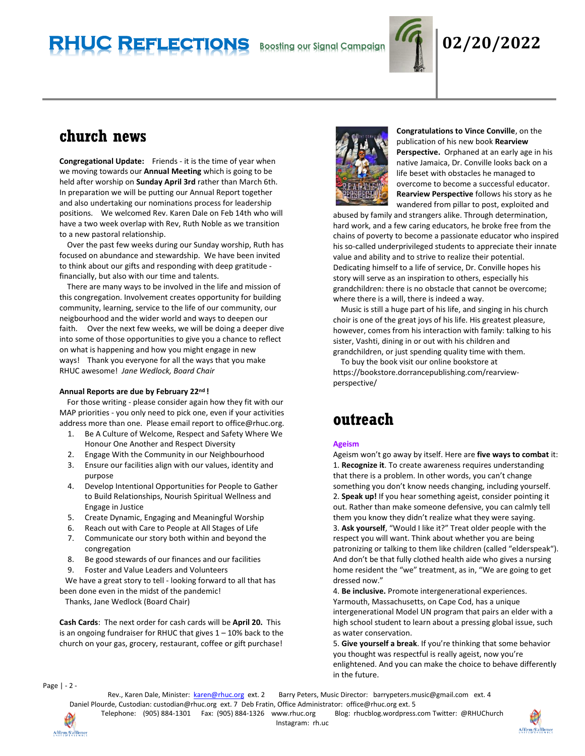# **RHUC Reflections Boosting our Signal Campaign 02/20/2022**



## **church news**

**Congregational Update:** Friends - it is the time of year when we moving towards our **Annual Meeting** which is going to be held after worship on **Sunday April 3rd** rather than March 6th. In preparation we will be putting our Annual Report together and also undertaking our nominations process for leadership positions. We welcomed Rev. Karen Dale on Feb 14th who will have a two week overlap with Rev, Ruth Noble as we transition to a new pastoral relationship.

 Over the past few weeks during our Sunday worship, Ruth has focused on abundance and stewardship. We have been invited to think about our gifts and responding with deep gratitude financially, but also with our time and talents.

 There are many ways to be involved in the life and mission of this congregation. Involvement creates opportunity for building community, learning, service to the life of our community, our neigbourhood and the wider world and ways to deepen our faith. Over the next few weeks, we will be doing a deeper dive into some of those opportunities to give you a chance to reflect on what is happening and how you might engage in new ways! Thank you everyone for all the ways that you make RHUC awesome! *Jane Wedlock, Board Chair*

### **Annual Reports are due by February 22nd !**

 For those writing - please consider again how they fit with our MAP priorities - you only need to pick one, even if your activities address more than one. Please email report to office@rhuc.org.

- 1. Be A Culture of Welcome, Respect and Safety Where We Honour One Another and Respect Diversity
- 2. Engage With the Community in our Neighbourhood
- 3. Ensure our facilities align with our values, identity and purpose
- 4. Develop Intentional Opportunities for People to Gather to Build Relationships, Nourish Spiritual Wellness and Engage in Justice
- 5. Create Dynamic, Engaging and Meaningful Worship
- 6. Reach out with Care to People at All Stages of Life
- 7. Communicate our story both within and beyond the congregation
- 8. Be good stewards of our finances and our facilities
- 9. Foster and Value Leaders and Volunteers

 We have a great story to tell - looking forward to all that has been done even in the midst of the pandemic!

Thanks, Jane Wedlock (Board Chair)

**Cash Cards**: The next order for cash cards will be **April 20.** This is an ongoing fundraiser for RHUC that gives  $1 - 10\%$  back to the church on your gas, grocery, restaurant, coffee or gift purchase!



**Congratulations to Vince Conville**, on the publication of his new book **Rearview Perspective.** Orphaned at an early age in his native Jamaica, Dr. Conville looks back on a life beset with obstacles he managed to overcome to become a successful educator. **Rearview Perspective** follows his story as he wandered from pillar to post, exploited and

abused by family and strangers alike. Through determination, hard work, and a few caring educators, he broke free from the chains of poverty to become a passionate educator who inspired his so-called underprivileged students to appreciate their innate value and ability and to strive to realize their potential. Dedicating himself to a life of service, Dr. Conville hopes his story will serve as an inspiration to others, especially his grandchildren: there is no obstacle that cannot be overcome; where there is a will, there is indeed a way.

 Music is still a huge part of his life, and singing in his church choir is one of the great joys of his life. His greatest pleasure, however, comes from his interaction with family: talking to his sister, Vashti, dining in or out with his children and grandchildren, or just spending quality time with them.

 To buy the book visit our online bookstore at https://bookstore.dorrancepublishing.com/rearviewperspective/

## **outreach**

### **Ageism**

Ageism won't go away by itself. Here are **five ways to combat** it: 1. **Recognize it**. To create awareness requires understanding that there is a problem. In other words, you can't change something you don't know needs changing, including yourself. 2. **Speak up!** If you hear something ageist, consider pointing it out. Rather than make someone defensive, you can calmly tell them you know they didn't realize what they were saying. 3. **Ask yourself**, "Would I like it?" Treat older people with the respect you will want. Think about whether you are being patronizing or talking to them like children (called "elderspeak"). And don't be that fully clothed health aide who gives a nursing home resident the "we" treatment, as in, "We are going to get dressed now."

4. **Be inclusive.** Promote intergenerational experiences. Yarmouth, Massachusetts, on Cape Cod, has a unique intergenerational Model UN program that pairs an elder with a high school student to learn about a pressing global issue, such as water conservation.

5. **Give yourself a break**. If you're thinking that some behavior you thought was respectful is really ageist, now you're enlightened. And you can make the choice to behave differently in the future.

Page | - 2 -

Rev., Karen Dale, Minister: [karen@rhuc.org](mailto:karen@rhuc.org) ext. 2 Barry Peters, Music Director: barrypeters.music@gmail.com ext. 4 Daniel Plourde, Custodian: [custodian@rhuc.org](mailto:custodian@rhuc.org) ext. 7 Deb Fratin, Office Administrator: [office@rhuc.org](mailto:office@rhuc.org) ext. 5

Instagram: rh.uc

Telephone: (905) 884-1301 Fax: (905) 884-1326 [www.rhuc.org](http://www.rhuc.org/) Blog: rhucblog.wordpress.com Twitter: @RHUChurch



Affirm/S'affirmer